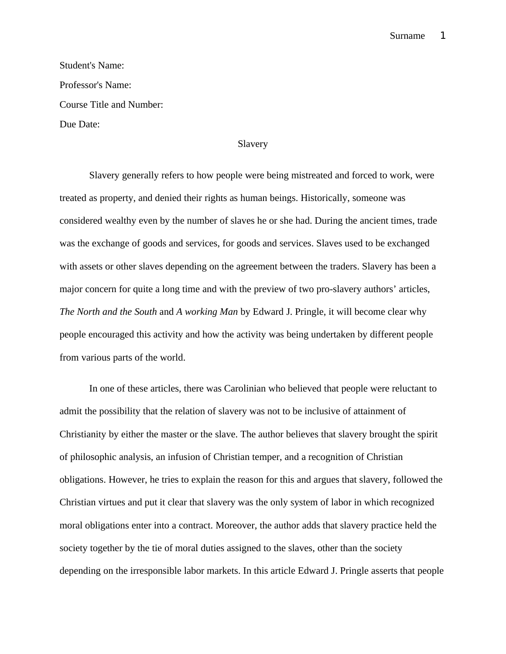## Surname 1

| <b>Student's Name:</b>   |
|--------------------------|
| Professor's Name:        |
| Course Title and Number: |
| Due Date:                |

## Slavery

Slavery generally refers to how people were being mistreated and forced to work, were treated as property, and denied their rights as human beings. Historically, someone was considered wealthy even by the number of slaves he or she had. During the ancient times, trade was the exchange of goods and services, for goods and services. Slaves used to be exchanged with assets or other slaves depending on the agreement between the traders. Slavery has been a major concern for quite a long time and with the preview of two pro-slavery authors' articles, *The North and the South* and *A working Man* by Edward J. Pringle, it will become clear why people encouraged this activity and how the activity was being undertaken by different people from various parts of the world.

In one of these articles, there was Carolinian who believed that people were reluctant to admit the possibility that the relation of slavery was not to be inclusive of attainment of Christianity by either the master or the slave. The author believes that slavery brought the spirit of philosophic analysis, an infusion of Christian temper, and a recognition of Christian obligations. However, he tries to explain the reason for this and argues that slavery, followed the Christian virtues and put it clear that slavery was the only system of labor in which recognized moral obligations enter into a contract. Moreover, the author adds that slavery practice held the society together by the tie of moral duties assigned to the slaves, other than the society depending on the irresponsible labor markets. In this article Edward J. Pringle asserts that people